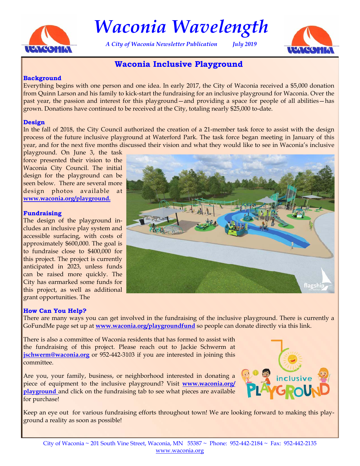

# *Waconia Wavelength*

*A City of Waconia Newsletter Publication July 2019* 



# **Waconia Inclusive Playground**

### **Background**

Everything begins with one person and one idea. In early 2017, the City of Waconia received a \$5,000 donation from Quinn Larson and his family to kick-start the fundraising for an inclusive playground for Waconia. Over the past year, the passion and interest for this playground—and providing a space for people of all abilities—has grown. Donations have continued to be received at the City, totaling nearly \$25,000 to-date.

### **Design**

In the fall of 2018, the City Council authorized the creation of a 21-member task force to assist with the design process of the future inclusive playground at Waterford Park. The task force began meeting in January of this year, and for the next five months discussed their vision and what they would like to see in Waconia's inclusive

playground. On June 3, the task force presented their vision to the Waconia City Council. The initial design for the playground can be seen below. There are several more design photos available at **www.waconia.org/playground.**

### **Fundraising**

The design of the playground includes an inclusive play system and accessible surfacing, with costs of approximately \$600,000. The goal is to fundraise close to \$400,000 for this project. The project is currently anticipated in 2023, unless funds can be raised more quickly. The City has earmarked some funds for this project, as well as additional grant opportunities. The

### **How Can You Help?**

There are many ways you can get involved in the fundraising of the inclusive playground. There is currently a GoFundMe page set up at **www.waconia.org/playgroundfund** so people can donate directly via this link.

There is also a committee of Waconia residents that has formed to assist with the fundraising of this project. Please reach out to Jackie Schwerm at **jschwerm@waconia.org** or 952-442-3103 if you are interested in joining this committee.

Are you, your family, business, or neighborhood interested in donating a piece of equipment to the inclusive playground? Visit **www.waconia.org/ playground** and click on the fundraising tab to see what pieces are available for purchase!



Keep an eye out for various fundraising efforts throughout town! We are looking forward to making this playground a reality as soon as possible!